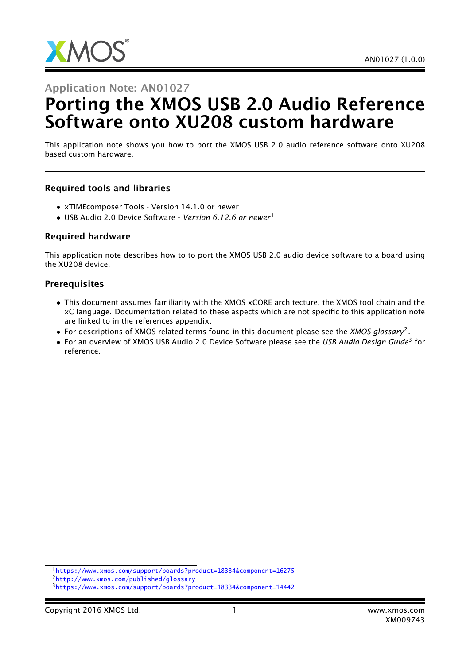

Application Note: AN01027

# Porting the XMOS USB 2.0 Audio Reference Software onto XU208 custom hardware

This application note shows you how to port the XMOS USB 2.0 audio reference software onto XU208 based custom hardware.

#### Required tools and libraries

- xTIMEcomposer Tools Version 14.1.0 or newer
- USB Audio 2.0 Device Software *Version 6.12.6 or newer*<sup>1</sup>

#### Required hardware

This application note describes how to to port the XMOS USB 2.0 audio device software to a board using the XU208 device.

#### **Prerequisites**

- This document assumes familiarity with the XMOS xCORE architecture, the XMOS tool chain and the xC language. Documentation related to these aspects which are not specific to this application note are linked to in the references appendix.
- For descriptions of XMOS related terms found in this document please see the *XMOS glossary*<sup>2</sup> .
- For an overview of XMOS USB Audio 2.0 Device Software please see the *USB Audio Design Guide*<sup>3</sup> for reference.

<sup>1</sup><https://www.xmos.com/support/boards?product=18334&component=16275>

<sup>2</sup><http://www.xmos.com/published/glossary>

<sup>3</sup><https://www.xmos.com/support/boards?product=18334&component=14442>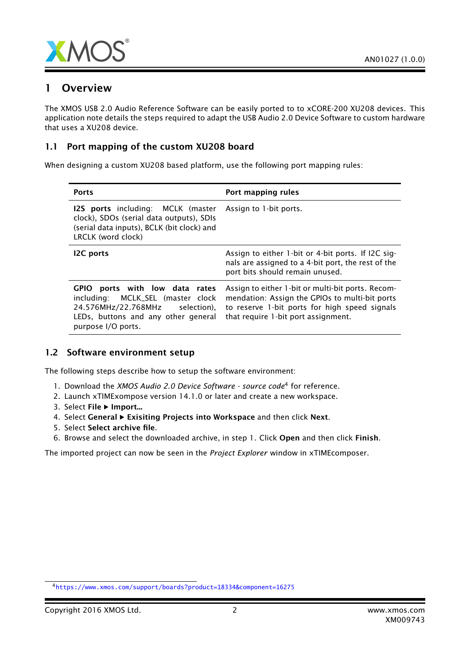

### 1 Overview

The XMOS USB 2.0 Audio Reference Software can be easily ported to to xCORE-200 XU208 devices. This application note details the steps required to adapt the USB Audio 2.0 Device Software to custom hardware that uses a XU208 device.

#### 1.1 Port mapping of the custom XU208 board

When designing a custom XU208 based platform, use the following port mapping rules:

| <b>Ports</b>                                                                                                                                                        | Port mapping rules                                                                                                                                                                          |
|---------------------------------------------------------------------------------------------------------------------------------------------------------------------|---------------------------------------------------------------------------------------------------------------------------------------------------------------------------------------------|
| <b>I2S ports</b> including: MCLK (master<br>clock), SDOs (serial data outputs), SDIs<br>(serial data inputs), BCLK (bit clock) and<br>LRCLK (word clock)            | Assign to 1-bit ports.                                                                                                                                                                      |
| <b>I2C</b> ports                                                                                                                                                    | Assign to either 1-bit or 4-bit ports. If I2C sig-<br>nals are assigned to a 4-bit port, the rest of the<br>port bits should remain unused.                                                 |
| GPIO ports with low data rates<br>including: MCLK_SEL (master clock<br>24.576MHz/22.768MHz selection),<br>LEDs, buttons and any other general<br>purpose I/O ports. | Assign to either 1-bit or multi-bit ports. Recom-<br>mendation: Assign the GPIOs to multi-bit ports<br>to reserve 1-bit ports for high speed signals<br>that require 1-bit port assignment. |

#### 1.2 Software environment setup

The following steps describe how to setup the software environment:

- 1. Download the *XMOS Audio 2.0 Device Software source code*<sup>4</sup> for reference.
- 2. Launch xTIMExompose version 14.1.0 or later and create a new workspace.
- 3. Select File ▶ Import...
- 4. Select General  $\blacktriangleright$  Exisiting Projects into Workspace and then click Next.
- 5. Select Select archive file.
- 6. Browse and select the downloaded archive, in step 1. Click Open and then click Finish.

The imported project can now be seen in the *Project Explorer* window in xTIMEcomposer.

<sup>4</sup><https://www.xmos.com/support/boards?product=18334&component=16275>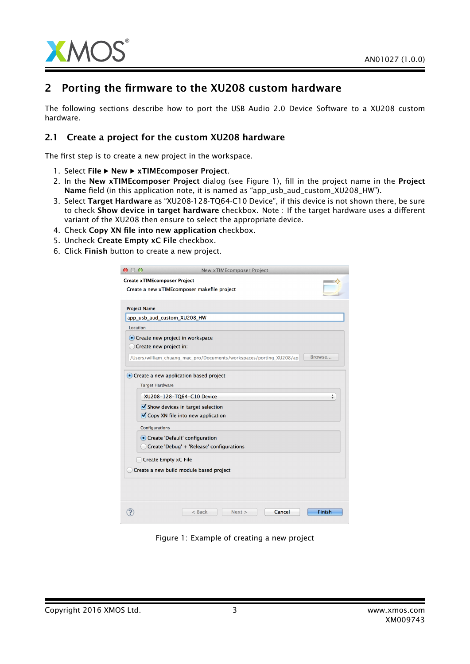

### 2 Porting the firmware to the XU208 custom hardware

The following sections describe how to port the USB Audio 2.0 Device Software to a XU208 custom hardware.

#### 2.1 Create a project for the custom XU208 hardware

The first step is to create a new project in the workspace.

- 1. Select File > New > xTIMEcomposer Project.
- 2. In the New xTIMEcomposer Project dialog (see Figure 1), fill in the project name in the Project Name field (in this application note, it is named as "app\_usb\_aud\_custom\_XU208\_HW").
- 3. Select Target Hardware as "XU208-128-TQ64-C10 Device", if this device is not shown there, be sure to check Show device in target hardware checkbox. Note : If the target hardware uses a different variant of the XU208 then ensure to select the appropriate device.
- 4. Check Copy XN file into new application checkbox.
- 5. Uncheck Create Empty xC File checkbox.
- 6. Click Finish button to create a new project.

| $\circ$             | New xTIMEcomposer Project                                           |        |  |
|---------------------|---------------------------------------------------------------------|--------|--|
|                     | <b>Create xTIMEcomposer Project</b>                                 |        |  |
|                     | Create a new xTIMEcomposer makefile project                         |        |  |
|                     |                                                                     |        |  |
| <b>Project Name</b> |                                                                     |        |  |
|                     | app_usb_aud_custom_XU208_HW                                         |        |  |
| Location            |                                                                     |        |  |
|                     | • Create new project in workspace                                   |        |  |
|                     | Create new project in:                                              |        |  |
|                     | /Users/william_chuang_mac_pro/Documents/workspaces/porting_XU208/ap | Browse |  |
|                     |                                                                     |        |  |
|                     | • Create a new application based project                            |        |  |
|                     | <b>Target Hardware</b>                                              |        |  |
|                     | XU208-128-TQ64-C10 Device                                           | ÷      |  |
|                     | $\blacktriangledown$ Show devices in target selection               |        |  |
|                     | Copy XN file into new application                                   |        |  |
|                     |                                                                     |        |  |
| Configurations      |                                                                     |        |  |
|                     | • Create 'Default' configuration                                    |        |  |
|                     | Create 'Debug' + 'Release' configurations                           |        |  |
|                     | Create Empty xC File                                                |        |  |
|                     | Create a new build module based project                             |        |  |
|                     |                                                                     |        |  |
|                     |                                                                     |        |  |
|                     |                                                                     |        |  |
|                     |                                                                     |        |  |
|                     | Cancel<br>$<$ Back<br>Next                                          | Finish |  |
|                     |                                                                     |        |  |

Figure 1: Example of creating a new project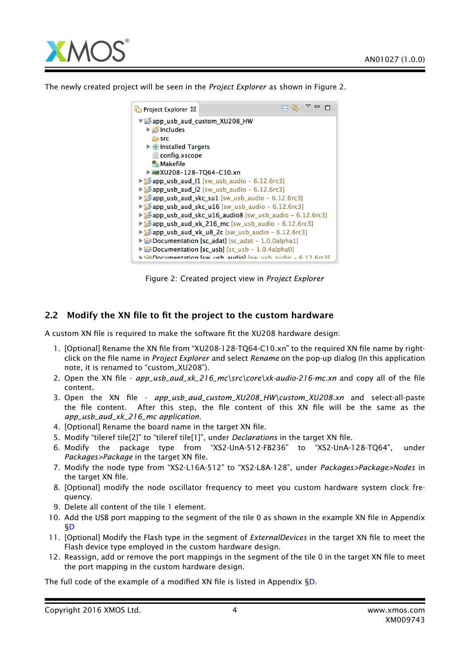

The newly created project will be seen in the *Project Explorer* as shown in Figure 2.

| Project Explorer &                                                                |                                                                                   |  |
|-----------------------------------------------------------------------------------|-----------------------------------------------------------------------------------|--|
| $\triangledown$ app usb aud custom XU208 HW                                       |                                                                                   |  |
| ▶ plincludes                                                                      |                                                                                   |  |
| r≔ src                                                                            |                                                                                   |  |
| $\triangleright$ <b>O</b> Installed Targets                                       |                                                                                   |  |
| $\Box$ config.xscope                                                              |                                                                                   |  |
| <b>Makefile</b>                                                                   |                                                                                   |  |
| ▶ ₩XU208-128-TQ64-C10.xn                                                          |                                                                                   |  |
|                                                                                   | $\triangleright$ app_usb_aud_11 [sw_usb_audio - 6.12.6rc3]                        |  |
|                                                                                   | $\triangleright$ app_usb_aud_l2 [sw_usb_audio - 6.12.6rc3]                        |  |
|                                                                                   | $\triangleright$ $\triangleright$ app usb aud skc sul [sw usb audio - 6.12.6rc3]  |  |
|                                                                                   | $\triangleright$ $\triangleright$ app usb aud skc u16 [sw usb audio - 6.12.6 rc3] |  |
| $\triangleright$ app usb aud skc u16 audio8 [sw usb audio - 6.12.6rc3]            |                                                                                   |  |
|                                                                                   | $\triangleright$ app_usb_aud_xk_216_mc [sw_usb_audio - 6.12.6rc3]                 |  |
|                                                                                   | $\triangleright$ app_usb_aud_xk_u8_2c [sw_usb_audio - 6.12.6rc3]                  |  |
| $\triangleright$ $\triangleright$ Documentation [sc adat] [sc adat - 1.0.0alpha1] |                                                                                   |  |
| $\triangleright$ $\triangleright$ Documentation [sc_usb] [sc_usb - 1.0.4alpha0]   |                                                                                   |  |
|                                                                                   | Pocumentation few ush audiol few ush audio - 6.12 Gre31                           |  |

Figure 2: Created project view in *Project Explorer*

#### 2.2 Modify the XN file to fit the project to the custom hardware

A custom XN file is required to make the software fit the XU208 hardware design:

- 1. [Optional] Rename the XN file from "XU208-128-TQ64-C10.xn" to the required XN file name by rightclick on the file name in *Project Explorer* and select *Rename* on the pop-up dialog (In this application note, it is renamed to "custom\_XU208").
- 2. Open the XN file *app\_usb\_aud\_xk\_216\_mc\src\core\xk-audio-216-mc.xn* and copy all of the file content.
- 3. Open the XN file *app\_usb\_aud\_custom\_XU208\_HW\custom\_XU208.xn* and select-all-paste the file content. After this step, the file content of this XN file will be the same as the *app\_usb\_aud\_xk\_216\_mc application*.
- 4. [Optional] Rename the board name in the target XN file.
- 5. Modify "tileref tile[2]" to "tileref tile[1]", under *Declarations* in the target XN file.
- 6. Modify the package type from "XS2-UnA-512-FB236" to "XS2-UnA-128-TQ64", under *Packages>Package* in the target XN file.
- 7. Modify the node type from "XS2-L16A-512" to "XS2-L8A-128", under *Packages>Package>Nodes* in the target XN file.
- 8. [Optional] modify the node oscillator frequency to meet you custom hardware system clock frequency.
- 9. Delete all content of the tile 1 element.
- 10. Add the USB port mapping to the segment of the tile 0 as shown in the example XN file in Appendix [§D](#page-9-0)
- 11. [Optional] Modify the Flash type in the segment of *ExternalDevices* in the target XN file to meet the Flash device type employed in the custom hardware design.
- 12. Reassign, add or remove the port mappings in the segment of the tile 0 in the target XN file to meet the port mapping in the custom hardware design.

The full code of the example of a modified XN file is listed in Appendix [§D.](#page-9-0)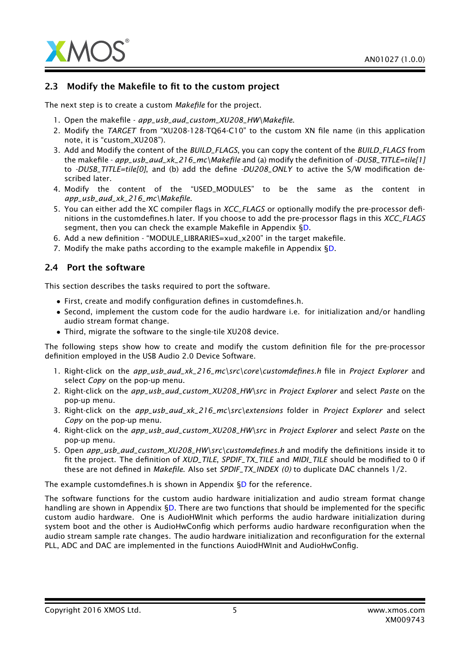

#### 2.3 Modify the Makefile to fit to the custom project

The next step is to create a custom *Makefile* for the project.

- 1. Open the makefile *app\_usb\_aud\_custom\_XU208\_HW\Makefile*.
- 2. Modify the *TARGET* from "XU208-128-TQ64-C10" to the custom XN file name (in this application note, it is "custom\_XU208").
- 3. Add and Modify the content of the *BUILD\_FLAGS*, you can copy the content of the *BUILD\_FLAGS* from the makefile - *app\_usb\_aud\_xk\_216\_mc\Makefile* and (a) modify the definition of *-DUSB\_TITLE=tile[1]* to *-DUSB\_TITLE=tile[0]*, and (b) add the define *-DU208\_ONLY* to active the S/W modification described later.
- 4. Modify the content of the "USED\_MODULES" to be the same as the content in *app\_usb\_aud\_xk\_216\_mc\Makefile*.
- 5. You can either add the XC compiler flags in *XCC\_FLAGS* or optionally modify the pre-processor definitions in the customdefines.h later. If you choose to add the pre-processor flags in this *XCC\_FLAGS* segment, then you can check the example Makefile in Appendix [§D.](#page-9-0)
- 6. Add a new definition "MODULE\_LIBRARIES=xud\_x200" in the target makefile.
- 7. Modify the make paths according to the example makefile in Appendix [§D.](#page-9-0)

#### 2.4 Port the software

This section describes the tasks required to port the software.

- First, create and modify configuration defines in customdefines.h.
- Second, implement the custom code for the audio hardware i.e. for initialization and/or handling audio stream format change.
- Third, migrate the software to the single-tile XU208 device.

The following steps show how to create and modify the custom definition file for the pre-processor definition employed in the USB Audio 2.0 Device Software.

- 1. Right-click on the *app\_usb\_aud\_xk\_216\_mc\src\core\customdefines.h* file in *Project Explorer* and select *Copy* on the pop-up menu.
- 2. Right-click on the *app\_usb\_aud\_custom\_XU208\_HW\src* in *Project Explorer* and select *Paste* on the pop-up menu.
- 3. Right-click on the *app\_usb\_aud\_xk\_216\_mc\src\extensions* folder in *Project Explorer* and select *Copy* on the pop-up menu.
- 4. Right-click on the *app\_usb\_aud\_custom\_XU208\_HW\src* in *Project Explorer* and select *Paste* on the pop-up menu.
- 5. Open *app\_usb\_aud\_custom\_XU208\_HW\src\customdefines.h* and modify the definitions inside it to fit the project. The definition of *XUD\_TILE*, *SPDIF\_TX\_TILE* and *MIDI\_TILE* should be modified to 0 if these are not defined in *Makefile*. Also set *SPDIF\_TX\_INDEX (0)* to duplicate DAC channels 1/2.

The example customdefines.h is shown in Appendix [§D](#page-9-0) for the reference.

The software functions for the custom audio hardware initialization and audio stream format change handling are shown in Appendix [§D.](#page-9-0) There are two functions that should be implemented for the specific custom audio hardware. One is AudioHWInit which performs the audio hardware initialization during system boot and the other is AudioHwConfig which performs audio hardware reconfiguration when the audio stream sample rate changes. The audio hardware initialization and reconfiguration for the external PLL, ADC and DAC are implemented in the functions AuiodHWInit and AudioHwConfig.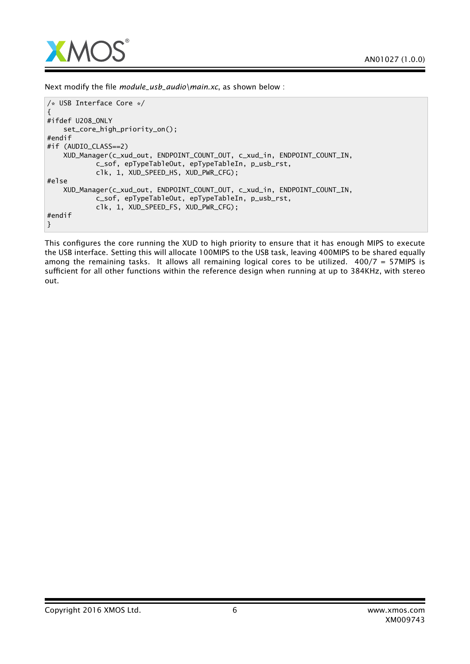

Next modify the file *module\_usb\_audio\main.xc*, as shown below :

```
/* USB Interface Core */
{
#ifdef U208_ONLY
    set_core_high_priority_on();
#endif
#if (AUDIO_CLASS==2)
    XUD_Manager(c_xud_out, ENDPOINT_COUNT_OUT, c_xud_in, ENDPOINT_COUNT_IN,
            c_sof, epTypeTableOut, epTypeTableIn, p_usb_rst,
            clk, 1, XUD_SPEED_HS, XUD_PWR_CFG);
#else
    XUD_Manager(c_xud_out, ENDPOINT_COUNT_OUT, c_xud_in, ENDPOINT_COUNT_IN,
            c_sof, epTypeTableOut, epTypeTableIn, p_usb_rst,
            clk, 1, XUD_SPEED_FS, XUD_PWR_CFG);
#endif
}
```
This configures the core running the XUD to high priority to ensure that it has enough MIPS to execute the USB interface. Setting this will allocate 100MIPS to the USB task, leaving 400MIPS to be shared equally among the remaining tasks. It allows all remaining logical cores to be utilized. 400/7 = 57MIPS is sufficient for all other functions within the reference design when running at up to 384KHz, with stereo out.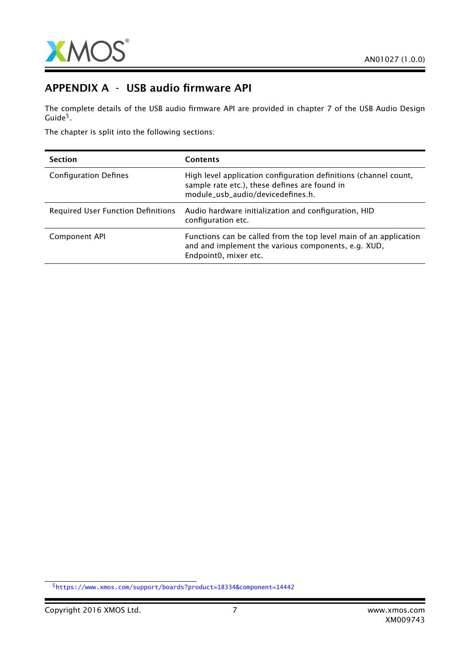

### APPENDIX A - USB audio firmware API

The complete details of the USB audio firmware API are provided in chapter 7 of the USB Audio Design  $\mathsf{Guide}^5.$ 

The chapter is split into the following sections:

| <b>Section</b>                            | <b>Contents</b>                                                                                                                                        |
|-------------------------------------------|--------------------------------------------------------------------------------------------------------------------------------------------------------|
| <b>Configuration Defines</b>              | High level application configuration definitions (channel count,<br>sample rate etc.), these defines are found in<br>module_usb_audio/devicedefines.h. |
| <b>Required User Function Definitions</b> | Audio hardware initialization and configuration, HID<br>configuration etc.                                                                             |
| Component API                             | Functions can be called from the top level main of an application<br>and and implement the various components, e.g. XUD,<br>Endpoint0, mixer etc.      |

<sup>5</sup><https://www.xmos.com/support/boards?product=18334&component=14442>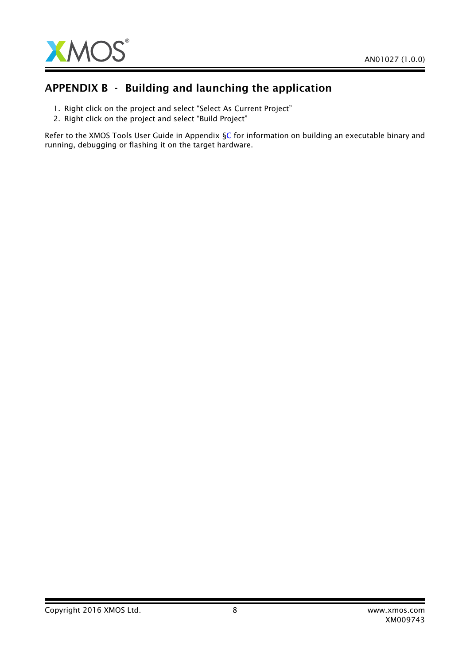

### APPENDIX B - Building and launching the application

- 1. Right click on the project and select "Select As Current Project"
- 2. Right click on the project and select "Build Project"

Refer to the XMOS Tools User Guide in Appendix [§C](#page-8-0) for information on building an executable binary and running, debugging or flashing it on the target hardware.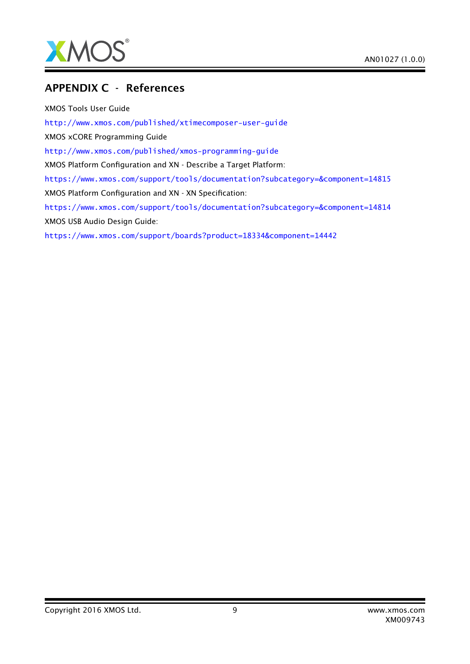

### <span id="page-8-0"></span>APPENDIX C - References

XMOS Tools User Guide <http://www.xmos.com/published/xtimecomposer-user-guide> XMOS xCORE Programming Guide <http://www.xmos.com/published/xmos-programming-guide> XMOS Platform Configuration and XN - Describe a Target Platform: <https://www.xmos.com/support/tools/documentation?subcategory=&component=14815> XMOS Platform Configuration and XN - XN Specification: <https://www.xmos.com/support/tools/documentation?subcategory=&component=14814> XMOS USB Audio Design Guide: <https://www.xmos.com/support/boards?product=18334&component=14442>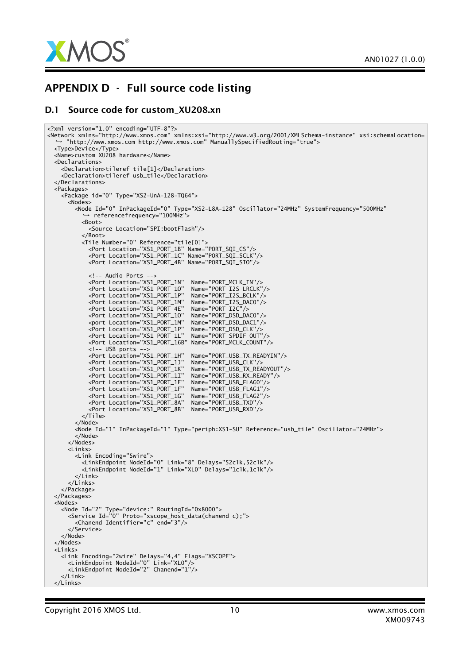

### <span id="page-9-0"></span>APPENDIX D - Full source code listing

#### D.1 Source code for custom XU208.xn

```
<?xml version="1.0" encoding="UTF-8"?>
<Network xmlns="http://www.xmos.com" xmlns:xsi="http://www.w3.org/2001/XMLSchema-instance" xsi:schemaLocation=
,→ "http://www.xmos.com http://www.xmos.com" ManuallySpecifiedRouting="true">
  <Type>Device</Type>
  <Name>custom XU208 hardware</Name>
 <Declarations>
    <Declaration>tileref tile[1]</Declaration>
    <Declaration>tileref usb_tile</Declaration>
  </Declarations>
  <Packages>
    <Package id="0" Type="XS2-UnA-128-TQ64">
      <Nodes>
        <Node Id="0" InPackageId="0" Type="XS2-L8A-128" Oscillator="24MHz" SystemFrequency="500MHz"
          ,→ referencefrequency="100MHz">
          <Boot>
            <Source Location="SPI:bootFlash"/>
          </Boot>
          <Tile Number="0" Reference="tile[0]">
            <Port Location="XS1_PORT_1B" Name="PORT_SQI_CS"/>
            <Port Location="XS1_PORT_1C" Name="PORT_SQI_SCLK"/>
            <Port Location="XS1_PORT_4B" Name="PORT_SQI_SIO"/>
            <!-- Audio Ports -->
            <Port Location="XS1_PORT_1N" Name="PORT_MCLK_IN"/>
            <Port Location="XS1_PORT_1O" Name="PORT_I2S_LRCLK"/>
            <Port Location="XS1_PORT_1P" Name="PORT_I2S_BCLK"/>
            <Port Location="XS1_PORT_1M" Name="PORT_I2S_DAC0"/>
            <Port Location="XS1_PORT_4E" Name="PORT_I2C"/>
            <Port Location="XS1_PORT_1O" Name="PORT_DSD_DAC0"/>
            <port Location="XS1_PORT_1M" Name="PORT_DSD_DAC1"/>
            <Port Location="XS1_PORT_1P" Name="PORT_DSD_CLK"/>
            <Port Location="XS1_PORT_1L" Name="PORT_SPDIF_OUT"/>
            <Port Location="XS1_PORT_16B" Name="PORT_MCLK_COUNT"/>
            <!-- USB ports -->
            <Port Location="XS1_PORT_1H" Name="PORT_USB_TX_READYIN"/>
            <Port Location="XS1_PORT_1J" Name="PORT_USB_CLK"/>
            <Port Location="XS1_PORT_1K" Name="PORT_USB_TX_READYOUT"/>
            <Port Location="XS1_PORT_1I" Name="PORT_USB_RX_READY"/>
            <Port Location="XS1_PORT_1E" Name="PORT_USB_FLAG0"/>
            <Port Location="XS1_PORT_1F" Name="PORT_USB_FLAG1"/>
            <Port Location="XS1_PORT_1G" Name="PORT_USB_FLAG2"/>
            <Port Location="XS1_PORT_8A" Name="PORT_USB_TXD"/>
            <Port Location="XS1_PORT_8B" Name="PORT_USB_RXD"/>
          </Tile>
        </Node>
        <Node Id="1" InPackageId="1" Type="periph:XS1-SU" Reference="usb_tile" Oscillator="24MHz">
        </Node>
      </Nodes>
      <Links>
        <Link Encoding="5wire">
          <LinkEndpoint NodeId="0" Link="8" Delays="52clk,52clk"/>
          <LinkEndpoint NodeId="1" Link="XL0" Delays="1clk,1clk"/>
        </Link>
      </Links>
    </Package>
  </Packages>
  <Nodes>
    <Node Id="2" Type="device:" RoutingId="0x8000">
      <Service Id="0" Proto="xscope_host_data(chanend c);">
        <Chanend Identifier="c" end="3"/>
      </Service>
    </Node>
 </Nodes>
  <Links>
    <Link Encoding="2wire" Delays="4,4" Flags="XSCOPE">
      <LinkEndpoint NodeId="0" Link="XL0"/>
      <LinkEndpoint NodeId="2" Chanend="1"/>
    \angle/Link>
  \frac{1}{2} inks>
```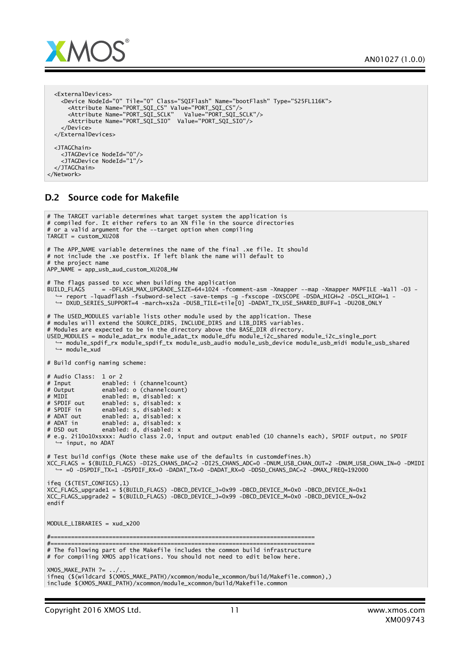

```
<ExternalDevices>
    <Device NodeId="0" Tile="0" Class="SQIFlash" Name="bootFlash" Type="S25FL116K">
      <Attribute Name="PORT_SQI_CS" Value="PORT_SQI_CS"/>
      <Attribute Name="PORT_SQI_SCLK" Value="PORT_SQI_SCLK"/>
      <Attribute Name="PORT_SQI_SIO" Value="PORT_SQI_SIO"/>
    </Device>
 </ExternalDevices>
 <JTAGChain>
   <JTAGDevice NodeId="0"/>
   <JTAGDevice NodeId="1"/>
  </JTAGChain>
</Network>
```
#### D.2 Source code for Makefile

```
# The TARGET variable determines what target system the application is
# compiled for. It either refers to an XN file in the source directories
# or a valid argument for the --target option when compiling
TARGET = custom_XU208
# The APP_NAME variable determines the name of the final .xe file. It should
# not include the .xe postfix. If left blank the name will default to
# the project name
APP_NAME = app_usb_aud_custom_XU208_HW
 The flags passed to xcc when building the application
BUILD_FLAGS = -DFLASH_MAX_UPGRADE_SIZE=64*1024 -fcomment-asm -Xmapper --map -Xmapper MAPFILE -Wall -O3 -
  ,→ report -lquadflash -fsubword-select -save-temps -g -fxscope -DXSCOPE -DSDA_HIGH=2 -DSCL_HIGH=1 -
  ,→ DXUD_SERIES_SUPPORT=4 -march=xs2a -DUSB_TILE=tile[0] -DADAT_TX_USE_SHARED_BUFF=1 -DU208_ONLY
# The USED_MODULES variable lists other module used by the application. These
# modules will extend the SOURCE_DIRS, INCLUDE_DIRS and LIB_DIRS variables.
# Modules are expected to be in the directory above the BASE_DIR directory.
USED_MODULES = module_adat_rx module_adat_tx module_dfu module_i2c_shared module_i2c_single_port
  ,→ module_spdif_rx module_spdif_tx module_usb_audio module_usb_device module_usb_midi module_usb_shared
  → module_xud
# Build config naming scheme:
# Audio Class: 1 or 2
# Input enabled: i (channelcount)<br># Output enabled: o (channelcount)
# Output enabled: o (channelcount)
# MIDI enabled: m, disabled: x<br># SPDIF out enabled: s. disabled: x
# SPDIF out enabled: s, disabled: x
# SPDIF in enabled: 5, disabled: x<br># SPDIF in enabled: s, disabled: x<br># ADAT out enabled: a, disabled: x
# ADAT out enabled: a, disabled: x
# ADAT in enabled: a, disabled: x
# DSD out enabled: d, disabled: x
# e.g. 2i10o10xsxxx: Audio class 2.0, input and output enabled (10 channels each), SPDIF output, no SPDIF
,→ input, no ADAT
# Test build configs (Note these make use of the defaults in customdefines.h)
XCC_FLAGS = $(BUILD_FLAGS) -DI2S_CHANS_DAC=2 -DI2S_CHANS_ADC=0 -DNUM_USB_CHAN_OUT=2 -DNUM_USB_CHAN_IN=0 -DMIDI
    ,→ =0 -DSPDIF_TX=1 -DSPDIF_RX=0 -DADAT_TX=0 -DADAT_RX=0 -DDSD_CHANS_DAC=2 -DMAX_FREQ=192000
ifeq ($(TEST_CONFIGS),1)
XCC_FLAGS_upgrade1 = $(BUILD_FLAGS) -DBCD_DEVICE_J=0x99 -DBCD_DEVICE_M=0x0 -DBCD_DEVICE_N=0x1
XCC_FLAGS_upgrade2 = $(BUILD_FLAGS) -DBCD_DEVICE_J=0x99 -DBCD_DEVICE_M=0x0 -DBCD_DEVICE_N=0x2
endif
MODULE_LIBRARIES = xud_x200
#=============================================================================
#=============================================================================
# The following part of the Makefile includes the common build infrastructure
# for compiling XMOS applications. You should not need to edit below here.
XMOS_MAKE_PATH ? = . ./.ifneq ($(wildcard $(XMOS_MAKE_PATH)/xcommon/module_xcommon/build/Makefile.common),)
include $(XMOS_MAKE_PATH)/xcommon/module_xcommon/build/Makefile.common
```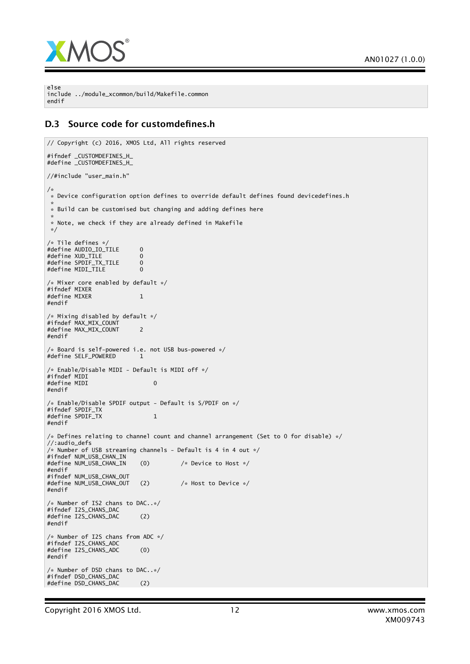

else include ../module\_xcommon/build/Makefile.common endif

#### D.3 Source code for customdefines.h

```
// Copyright (c) 2016, XMOS Ltd, All rights reserved
#ifndef _CUSTOMDEFINES_H_
#define _CUSTOMDEFINES_H_
//#include "user_main.h"
/*
 * Device configuration option defines to override default defines found devicedefines.h
 *
* Build can be customised but changing and adding defines here
 *
* Note, we check if they are already defined in Makefile
 */
/* Tile defines */
#define AUDIO_IO_TILE 0
#define XUD_TILE 0<br>#define SPDIF TX TILE 0
#define SPDIF_TX_TILE 0<br>#define MTDI TILE 0
#define MIDI_TILE 0
/* Mixer core enabled by default */
#ifndef MIXER
#define MIXER 1
#endif
/* Mixing disabled by default */
#ifndef MAX_MIX_COUNT
#define MAX_MIX_COUNT 2
#endif
/* Board is self-powered i.e. not USB bus-powered */
#define SELF_POWERED 1
/* Enable/Disable MIDI - Default is MIDI off */
#ifndef MIDI
#define MIDI 0
#endif
/* Enable/Disable SPDIF output - Default is S/PDIF on */
#ifndef SPDIF_TX
#define SPDIF_TX 1
#endif
/* Defines relating to channel count and channel arrangement (Set to 0 for disable) *///:audio_defs
/* Number of USB streaming channels - Default is 4 in 4 out */
#ifndef NUM_USB_CHAN_IN
#define NUM_USB_CHAN_IN (0) /* Device to Host */
#endif
#ifndef NUM_USB_CHAN_OUT
#define NUM_USB_CHAN_OUT (2) /* Host to Device */
#endif
/* Number of IS2 chans to DAC..*/
#ifndef I2S_CHANS_DAC
#define I2S_CHANS_DAC (2)
#endif
/* Number of I2S chans from ADC */
#ifndef I2S_CHANS_ADC
#define I2S_CHANS_ADC (0)
#endif
/* Number of DSD chans to DAC..*/
#ifndef DSD_CHANS_DAC
#define DSD_CHANS_DAC (2)
```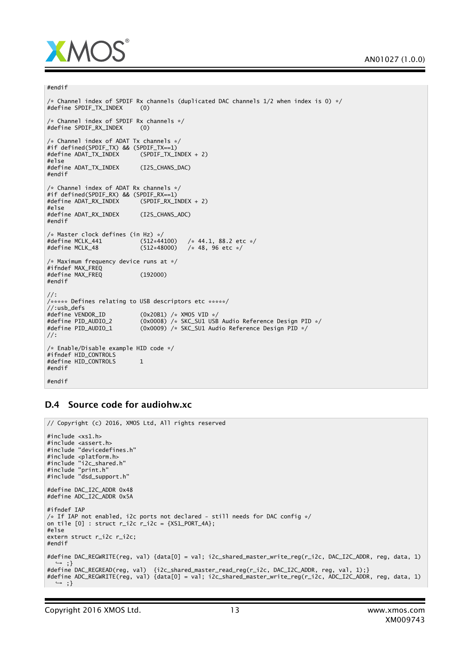

```
#endif
```

```
/* Channel index of SPDIF Rx channels (duplicated DAC channels 1/2 when index is 0) */<br>#define SPDIF_TX_INDEX (0)
#define SPDIF_TX_INDEX (0)
/* Channel index of SPDIF Rx channels */
#define SPDIF_RX_INDEX (0)
/* Channel index of ADAT Tx channels */
#if defined(SPDIF_TX) && (SPDIF_TX==1)
#define ADAT_TX_INDEX
#else
#define ADAT_TX_INDEX (I2S_CHANS_DAC)
#endif
/* Channel index of ADAT Rx channels */
#if defined(SPDIF_RX) && (SPDIF_RX==1)
#define ADAT_RX_INDEX
#else
#define ADAT_RX_INDEX (I2S_CHANS_ADC)
#endif
/* Master clock defines (in Hz) */<br>#define MCLK_441 (512*44100)
\frac{4}{3} #define MCLK_441 (512*44100) /* 44.1, 88.2 etc */<br>\frac{4}{3} +define MCLK_48 (512*48000) /* 48. 96 etc */
                                            \frac{1}{8} 48, 96 etc */
/* Maximum frequency device runs at */
#ifndef MAX_FREQ
#define MAX_FREQ (192000)
#endif
//:
/***** Defines relating to USB descriptors etc *****/
//:usb_defs<br>#define VENDOR_ID
#define VENDOR_ID (0x20B1) /* XMOS VID */
#define PID_AUDIO_2 (0x0008) /* SKC_SU1 USB Audio Reference Design PID */
#define PID_AUDIO_1 (0x0009) /* SKC_SU1 Audio Reference Design PID */
//:
/* Enable/Disable example HID code */
#ifndef HID_CONTROLS
#define HID_CONTROLS 1
#endif
#endif
```
#### D.4 Source code for audiohw.xc

```
// Copyright (c) 2016, XMOS Ltd, All rights reserved
#include <xs1.h>
#include <assert.h>
#include "devicedefines.h"
#include <platform.h>
#include "i2c_shared.h"
#include "print.h"
#include "dsd_support.h"
#define DAC_I2C_ADDR 0x48
#define ADC_I2C_ADDR 0x5A
#ifndef IAP
\frac{1}{x} if IAP not enabled, i2c ports not declared - still needs for DAC config \frac{x}{x}on tile [0] : struct r_i2c r_i2c = {XSL-PORT_4A};#else
extern struct r_i2c r_i2c;
#endif
#define DAC_REGWRITE(reg, val) {data[0] = val; i2c_shared_master_write_reg(r_i2c, DAC_I2C_ADDR, reg, data, 1)
  ,→ ;}
#define DAC_REGREAD(reg, val) {i2c_shared_master_read_reg(r_i2c, DAC_I2C_ADDR, reg, val, 1);}
#define ADC_REGWRITE(reg, val) {data[0] = val; i2c_shared_master_write_reg(r_i2c, ADC_I2C_ADDR, reg, data, 1)
,→ ;}
```